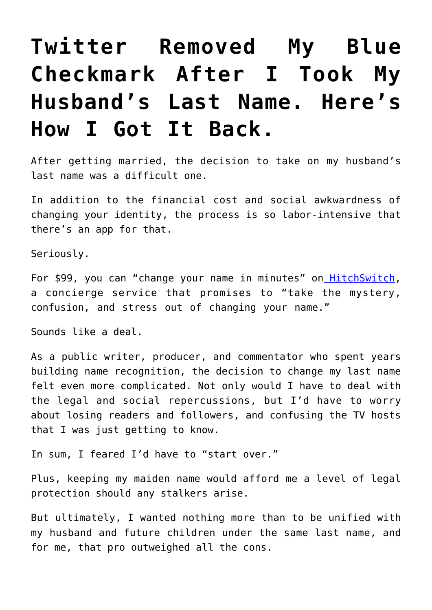## **[Twitter Removed My Blue](https://intellectualtakeout.org/2019/03/twitter-removed-my-blue-checkmark-after-i-took-my-husbands-last-name-heres-how-i-got-it-back/) [Checkmark After I Took My](https://intellectualtakeout.org/2019/03/twitter-removed-my-blue-checkmark-after-i-took-my-husbands-last-name-heres-how-i-got-it-back/) [Husband's Last Name. Here's](https://intellectualtakeout.org/2019/03/twitter-removed-my-blue-checkmark-after-i-took-my-husbands-last-name-heres-how-i-got-it-back/) [How I Got It Back.](https://intellectualtakeout.org/2019/03/twitter-removed-my-blue-checkmark-after-i-took-my-husbands-last-name-heres-how-i-got-it-back/)**

After getting married, the decision to take on my husband's last name was a difficult one.

In addition to the financial cost and social awkwardness of changing your identity, the process is so labor-intensive that there's an app for that.

Seriously.

For \$99, you can "change your name in minutes" on **HitchSwitch**, a concierge service that promises to "take the mystery, confusion, and stress out of changing your name."

Sounds like a deal.

As a public writer, producer, and commentator who spent years building name recognition, the decision to change my last name felt even more complicated. Not only would I have to deal with the legal and social repercussions, but I'd have to worry about losing readers and followers, and confusing the TV hosts that I was just getting to know.

In sum, I feared I'd have to "start over."

Plus, keeping my maiden name would afford me a level of legal protection should any stalkers arise.

But ultimately, I wanted nothing more than to be unified with my husband and future children under the same last name, and for me, that pro outweighed all the cons.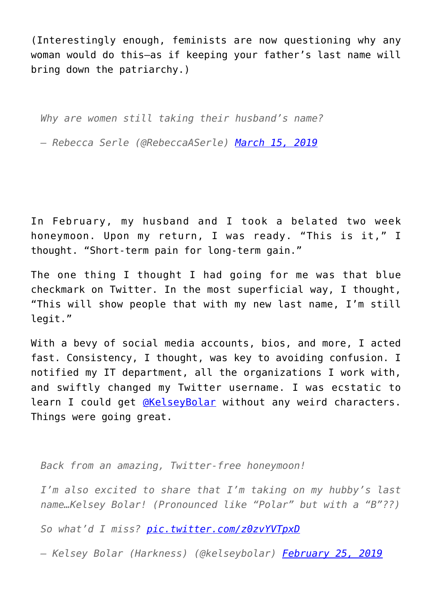(Interestingly enough, feminists are now questioning why any woman would do this—as if keeping your father's last name will bring down the patriarchy.)

*Why are women still taking their husband's name?*

*— Rebecca Serle (@RebeccaASerle) [March 15, 2019](https://twitter.com/RebeccaASerle/status/1106370852134617088?ref_src=twsrc%5Etfw)*

In February, my husband and I took a belated two week honeymoon. Upon my return, I was ready. "This is it," I thought. "Short-term pain for long-term gain."

The one thing I thought I had going for me was that blue checkmark on Twitter. In the most superficial way, I thought, "This will show people that with my new last name, I'm still legit."

With a bevy of social media accounts, bios, and more, I acted fast. Consistency, I thought, was key to avoiding confusion. I notified my IT department, all the organizations I work with, and swiftly changed my Twitter username. I was ecstatic to learn I could get *[@KelseyBolar](https://twitter.com/kelseybolar)* without any weird characters. Things were going great.

*Back from an amazing, Twitter-free honeymoon!*

*I'm also excited to share that I'm taking on my hubby's last name…Kelsey Bolar! (Pronounced like "Polar" but with a "B"??)*

*So what'd I miss? [pic.twitter.com/z0zvYVTpxD](https://t.co/z0zvYVTpxD)*

*— Kelsey Bolar (Harkness) (@kelseybolar) [February 25, 2019](https://twitter.com/kelseybolar/status/1100146910353080320?ref_src=twsrc%5Etfw)*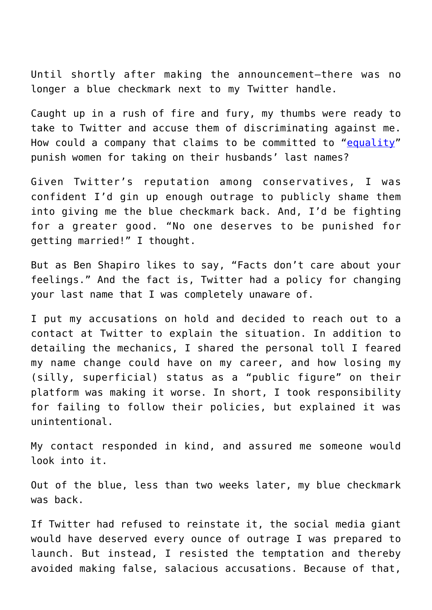Until shortly after making the announcement—there was no longer a blue checkmark next to my Twitter handle.

Caught up in a rush of fire and fury, my thumbs were ready to take to Twitter and accuse them of discriminating against me. How could a company that claims to be committed to ["equality"](https://about.twitter.com/en_us/values/twitter-for-good.html) punish women for taking on their husbands' last names?

Given Twitter's reputation among conservatives, I was confident I'd gin up enough outrage to publicly shame them into giving me the blue checkmark back. And, I'd be fighting for a greater good. "No one deserves to be punished for getting married!" I thought.

But as Ben Shapiro likes to say, "Facts don't care about your feelings." And the fact is, Twitter had a policy for changing your last name that I was completely unaware of.

I put my accusations on hold and decided to reach out to a contact at Twitter to explain the situation. In addition to detailing the mechanics, I shared the personal toll I feared my name change could have on my career, and how losing my (silly, superficial) status as a "public figure" on their platform was making it worse. In short, I took responsibility for failing to follow their policies, but explained it was unintentional.

My contact responded in kind, and assured me someone would look into it.

Out of the blue, less than two weeks later, my blue checkmark was back.

If Twitter had refused to reinstate it, the social media giant would have deserved every ounce of outrage I was prepared to launch. But instead, I resisted the temptation and thereby avoided making false, salacious accusations. Because of that,